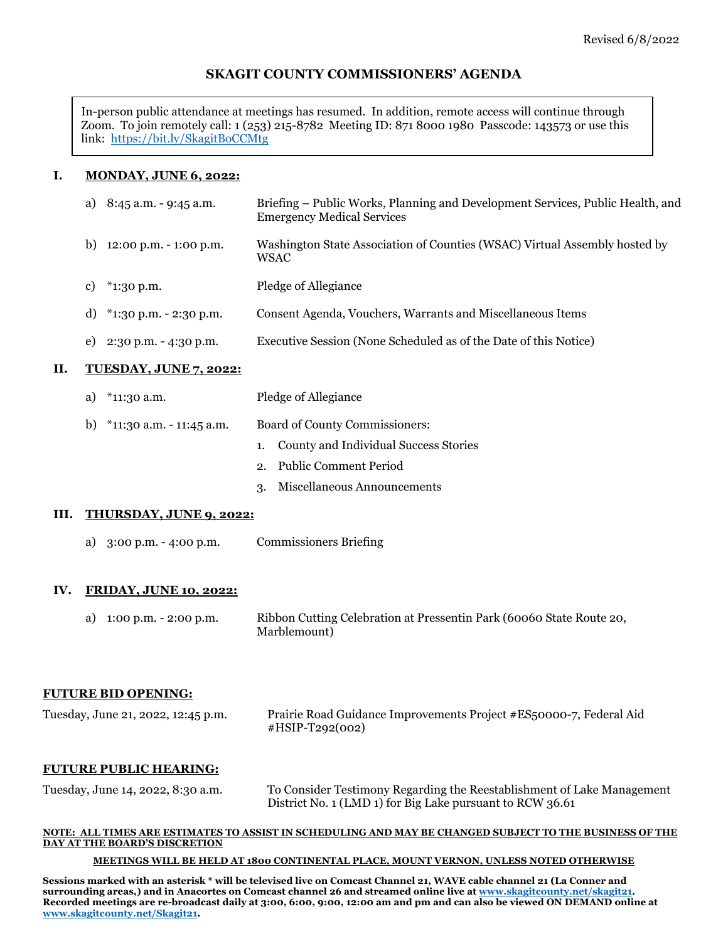# **SKAGIT COUNTY COMMISSIONERS' AGENDA**

In-person public attendance at meetings has resumed. In addition, remote access will continue through Zoom. To join remotely call: 1 (253) 215-8782 Meeting ID: 871 8000 1980 Passcode: 143573 or use this link: <https://bit.ly/SkagitBoCCMtg>

### **I. MONDAY, JUNE 6, 2022:**

| П. | <b>TUESDAY, JUNE 7, 2022:</b>               |                                                                                                                     |
|----|---------------------------------------------|---------------------------------------------------------------------------------------------------------------------|
|    | $2:30$ p.m. - 4:30 p.m.<br>e)               | Executive Session (None Scheduled as of the Date of this Notice)                                                    |
|    | d) $*1:30 \text{ p.m.} - 2:30 \text{ p.m.}$ | Consent Agenda, Vouchers, Warrants and Miscellaneous Items                                                          |
|    | $*1:30$ p.m.<br>c)                          | Pledge of Allegiance                                                                                                |
|    | $12:00$ p.m. $-1:00$ p.m.<br>b)             | Washington State Association of Counties (WSAC) Virtual Assembly hosted by<br>WSAC                                  |
|    | 8:45 a.m. - 9:45 a.m.<br>a)                 | Briefing – Public Works, Planning and Development Services, Public Health, and<br><b>Emergency Medical Services</b> |

- a) \*11:30 a.m. Pledge of Allegiance
- b) \*11:30 a.m. 11:45 a.m. Board of County Commissioners:
	- 1. County and Individual Success Stories
	- 2. Public Comment Period
	- 3. Miscellaneous Announcements

#### **III. THURSDAY, JUNE 9, 2022:**

a) 3:00 p.m. - 4:00 p.m. Commissioners Briefing

#### **IV. FRIDAY, JUNE 10, 2022:**

a) 1:00 p.m. - 2:00 p.m. Ribbon Cutting Celebration at Pressentin Park (60060 State Route 20, Marblemount)

### **FUTURE BID OPENING:**

| Tuesday, June 21, 2022, 12:45 p.m. | Prairie Road Guidance Improvements Project #ES50000-7, Federal Aid |
|------------------------------------|--------------------------------------------------------------------|
|                                    | #HSIP-T292(002)                                                    |

#### **FUTURE PUBLIC HEARING:**

Tuesday, June 14, 2022, 8:30 a.m. To Consider Testimony Regarding the Reestablishment of Lake Management District No. 1 (LMD 1) for Big Lake pursuant to RCW 36.61

#### **NOTE: ALL TIMES ARE ESTIMATES TO ASSIST IN SCHEDULING AND MAY BE CHANGED SUBJECT TO THE BUSINESS OF THE DAY AT THE BOARD'S DISCRETION**

#### **MEETINGS WILL BE HELD AT 1800 CONTINENTAL PLACE, MOUNT VERNON, UNLESS NOTED OTHERWISE**

**Sessions marked with an asterisk \* will be televised live on Comcast Channel 21, WAVE cable channel 21 (La Conner and surrounding areas,) and in Anacortes on Comcast channel 26 and streamed online live at [www.skagitcounty.net/skagit21.](http://www.skagitcounty.net/skagit21) Recorded meetings are re-broadcast daily at 3:00, 6:00, 9:00, 12:00 am and pm and can also be viewed ON DEMAND online at [www.skagitcounty.net/Skagit21.](http://www.skagitcounty.net/Skagit21)**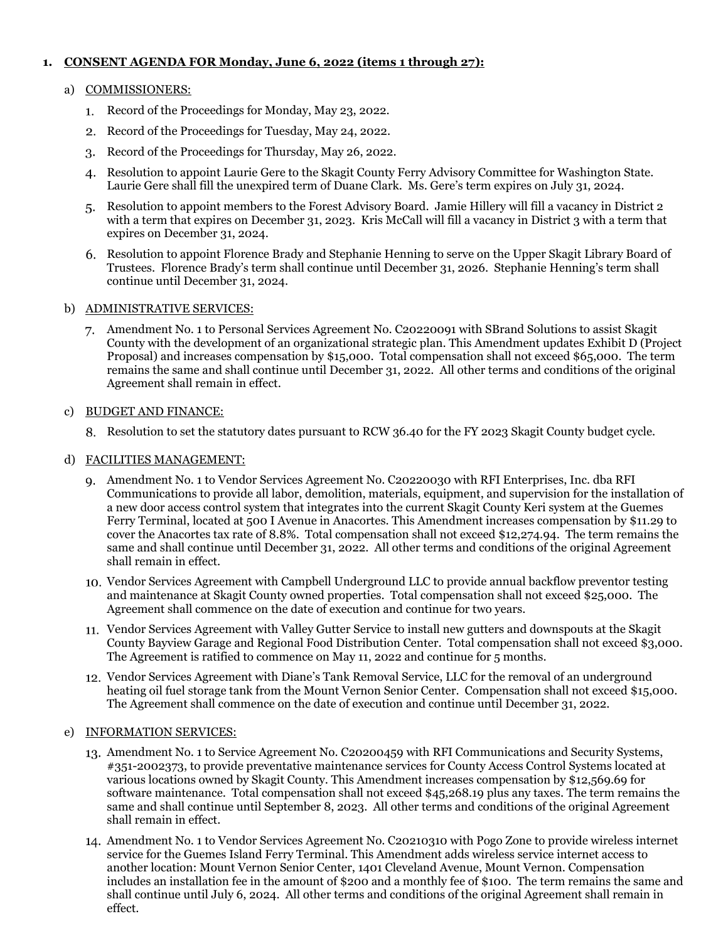# **1. CONSENT AGENDA FOR Monday, June 6, 2022 (items 1 through 27):**

## a) COMMISSIONERS:

- 1. Record of the Proceedings for Monday, May 23, 2022.
- 2. Record of the Proceedings for Tuesday, May 24, 2022.
- Record of the Proceedings for Thursday, May 26, 2022.
- Resolution to appoint Laurie Gere to the Skagit County Ferry Advisory Committee for Washington State. Laurie Gere shall fill the unexpired term of Duane Clark. Ms. Gere's term expires on July 31, 2024.
- Resolution to appoint members to the Forest Advisory Board. Jamie Hillery will fill a vacancy in District 2 with a term that expires on December 31, 2023. Kris McCall will fill a vacancy in District 3 with a term that expires on December 31, 2024.
- Resolution to appoint Florence Brady and Stephanie Henning to serve on the Upper Skagit Library Board of Trustees. Florence Brady's term shall continue until December 31, 2026. Stephanie Henning's term shall continue until December 31, 2024.

## b) ADMINISTRATIVE SERVICES:

Amendment No. 1 to Personal Services Agreement No. C20220091 with SBrand Solutions to assist Skagit County with the development of an organizational strategic plan. This Amendment updates Exhibit D (Project Proposal) and increases compensation by \$15,000. Total compensation shall not exceed \$65,000. The term remains the same and shall continue until December 31, 2022. All other terms and conditions of the original Agreement shall remain in effect.

## c) BUDGET AND FINANCE:

Resolution to set the statutory dates pursuant to RCW 36.40 for the FY 2023 Skagit County budget cycle.

# d) FACILITIES MANAGEMENT:

- Amendment No. 1 to Vendor Services Agreement No. C20220030 with RFI Enterprises, Inc. dba RFI Communications to provide all labor, demolition, materials, equipment, and supervision for the installation of a new door access control system that integrates into the current Skagit County Keri system at the Guemes Ferry Terminal, located at 500 I Avenue in Anacortes. This Amendment increases compensation by \$11.29 to cover the Anacortes tax rate of 8.8%. Total compensation shall not exceed \$12,274.94. The term remains the same and shall continue until December 31, 2022. All other terms and conditions of the original Agreement shall remain in effect.
- Vendor Services Agreement with Campbell Underground LLC to provide annual backflow preventor testing and maintenance at Skagit County owned properties. Total compensation shall not exceed \$25,000. The Agreement shall commence on the date of execution and continue for two years.
- Vendor Services Agreement with Valley Gutter Service to install new gutters and downspouts at the Skagit County Bayview Garage and Regional Food Distribution Center. Total compensation shall not exceed \$3,000. The Agreement is ratified to commence on May 11, 2022 and continue for 5 months.
- Vendor Services Agreement with Diane's Tank Removal Service, LLC for the removal of an underground heating oil fuel storage tank from the Mount Vernon Senior Center. Compensation shall not exceed \$15,000. The Agreement shall commence on the date of execution and continue until December 31, 2022.

# e) INFORMATION SERVICES:

- Amendment No. 1 to Service Agreement No. C20200459 with RFI Communications and Security Systems, #351-2002373, to provide preventative maintenance services for County Access Control Systems located at various locations owned by Skagit County. This Amendment increases compensation by \$12,569.69 for software maintenance. Total compensation shall not exceed \$45,268.19 plus any taxes. The term remains the same and shall continue until September 8, 2023. All other terms and conditions of the original Agreement shall remain in effect.
- Amendment No. 1 to Vendor Services Agreement No. C20210310 with Pogo Zone to provide wireless internet service for the Guemes Island Ferry Terminal. This Amendment adds wireless service internet access to another location: Mount Vernon Senior Center, 1401 Cleveland Avenue, Mount Vernon. Compensation includes an installation fee in the amount of \$200 and a monthly fee of \$100. The term remains the same and shall continue until July 6, 2024. All other terms and conditions of the original Agreement shall remain in effect.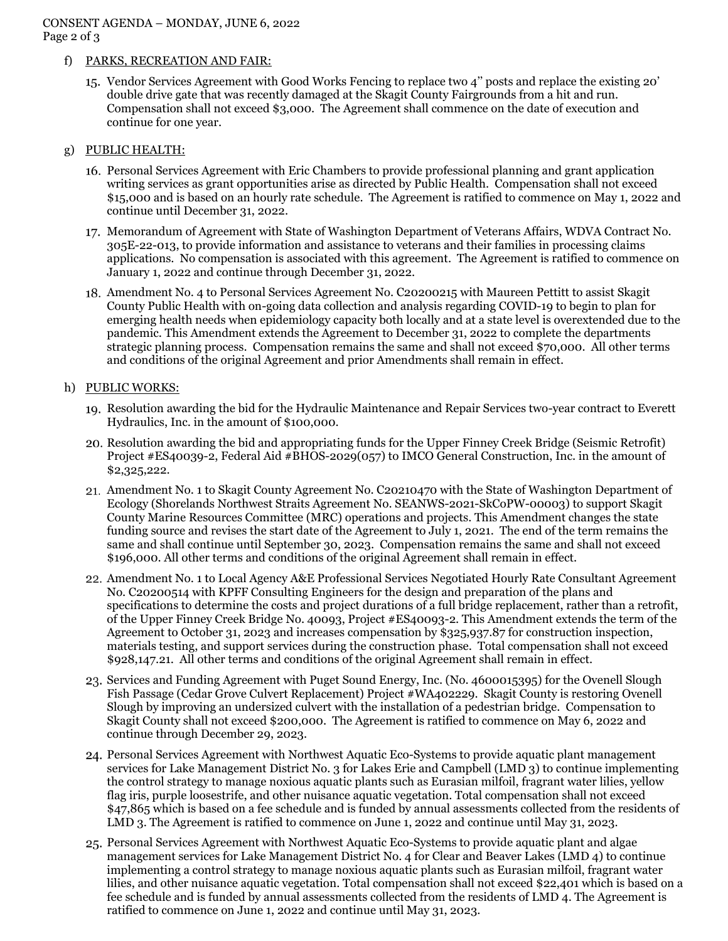# CONSENT AGENDA – MONDAY, JUNE 6, 2022 Page 2 of 3

## f) PARKS, RECREATION AND FAIR:

Vendor Services Agreement with Good Works Fencing to replace two 4'' posts and replace the existing 20' double drive gate that was recently damaged at the Skagit County Fairgrounds from a hit and run. Compensation shall not exceed \$3,000. The Agreement shall commence on the date of execution and continue for one year.

# g) PUBLIC HEALTH:

- 16. Personal Services Agreement with Eric Chambers to provide professional planning and grant application writing services as grant opportunities arise as directed by Public Health. Compensation shall not exceed \$15,000 and is based on an hourly rate schedule. The Agreement is ratified to commence on May 1, 2022 and continue until December 31, 2022.
- 17. Memorandum of Agreement with State of Washington Department of Veterans Affairs, WDVA Contract No. 305E-22-013, to provide information and assistance to veterans and their families in processing claims applications. No compensation is associated with this agreement. The Agreement is ratified to commence on January 1, 2022 and continue through December 31, 2022.
- Amendment No. 4 to Personal Services Agreement No. C20200215 with Maureen Pettitt to assist Skagit County Public Health with on-going data collection and analysis regarding COVID-19 to begin to plan for emerging health needs when epidemiology capacity both locally and at a state level is overextended due to the pandemic. This Amendment extends the Agreement to December 31, 2022 to complete the departments strategic planning process. Compensation remains the same and shall not exceed \$70,000. All other terms and conditions of the original Agreement and prior Amendments shall remain in effect.

## h) PUBLIC WORKS:

- Resolution awarding the bid for the Hydraulic Maintenance and Repair Services two-year contract to Everett Hydraulics, Inc. in the amount of \$100,000.
- Resolution awarding the bid and appropriating funds for the Upper Finney Creek Bridge (Seismic Retrofit) Project #ES40039-2, Federal Aid #BHOS-2029(057) to IMCO General Construction, Inc. in the amount of \$2,325,222.
- Amendment No. 1 to Skagit County Agreement No. C20210470 with the State of Washington Department of Ecology (Shorelands Northwest Straits Agreement No. SEANWS-2021-SkCoPW-00003) to support Skagit County Marine Resources Committee (MRC) operations and projects. This Amendment changes the state funding source and revises the start date of the Agreement to July 1, 2021. The end of the term remains the same and shall continue until September 30, 2023. Compensation remains the same and shall not exceed \$196,000. All other terms and conditions of the original Agreement shall remain in effect.
- Amendment No. 1 to Local Agency A&E Professional Services Negotiated Hourly Rate Consultant Agreement No. C20200514 with KPFF Consulting Engineers for the design and preparation of the plans and specifications to determine the costs and project durations of a full bridge replacement, rather than a retrofit, of the Upper Finney Creek Bridge No. 40093, Project #ES40093-2. This Amendment extends the term of the Agreement to October 31, 2023 and increases compensation by \$325,937.87 for construction inspection, materials testing, and support services during the construction phase. Total compensation shall not exceed \$928,147.21. All other terms and conditions of the original Agreement shall remain in effect.
- 23. Services and Funding Agreement with Puget Sound Energy, Inc. (No. 4600015395) for the Ovenell Slough Fish Passage (Cedar Grove Culvert Replacement) Project #WA402229. Skagit County is restoring Ovenell Slough by improving an undersized culvert with the installation of a pedestrian bridge. Compensation to Skagit County shall not exceed \$200,000. The Agreement is ratified to commence on May 6, 2022 and continue through December 29, 2023.
- Personal Services Agreement with Northwest Aquatic Eco-Systems to provide aquatic plant management services for Lake Management District No. 3 for Lakes Erie and Campbell (LMD 3) to continue implementing the control strategy to manage noxious aquatic plants such as Eurasian milfoil, fragrant water lilies, yellow flag iris, purple loosestrife, and other nuisance aquatic vegetation. Total compensation shall not exceed \$47,865 which is based on a fee schedule and is funded by annual assessments collected from the residents of LMD 3. The Agreement is ratified to commence on June 1, 2022 and continue until May 31, 2023.
- Personal Services Agreement with Northwest Aquatic Eco-Systems to provide aquatic plant and algae management services for Lake Management District No. 4 for Clear and Beaver Lakes (LMD 4) to continue implementing a control strategy to manage noxious aquatic plants such as Eurasian milfoil, fragrant water lilies, and other nuisance aquatic vegetation. Total compensation shall not exceed \$22,401 which is based on a fee schedule and is funded by annual assessments collected from the residents of LMD 4. The Agreement is ratified to commence on June 1, 2022 and continue until May 31, 2023.